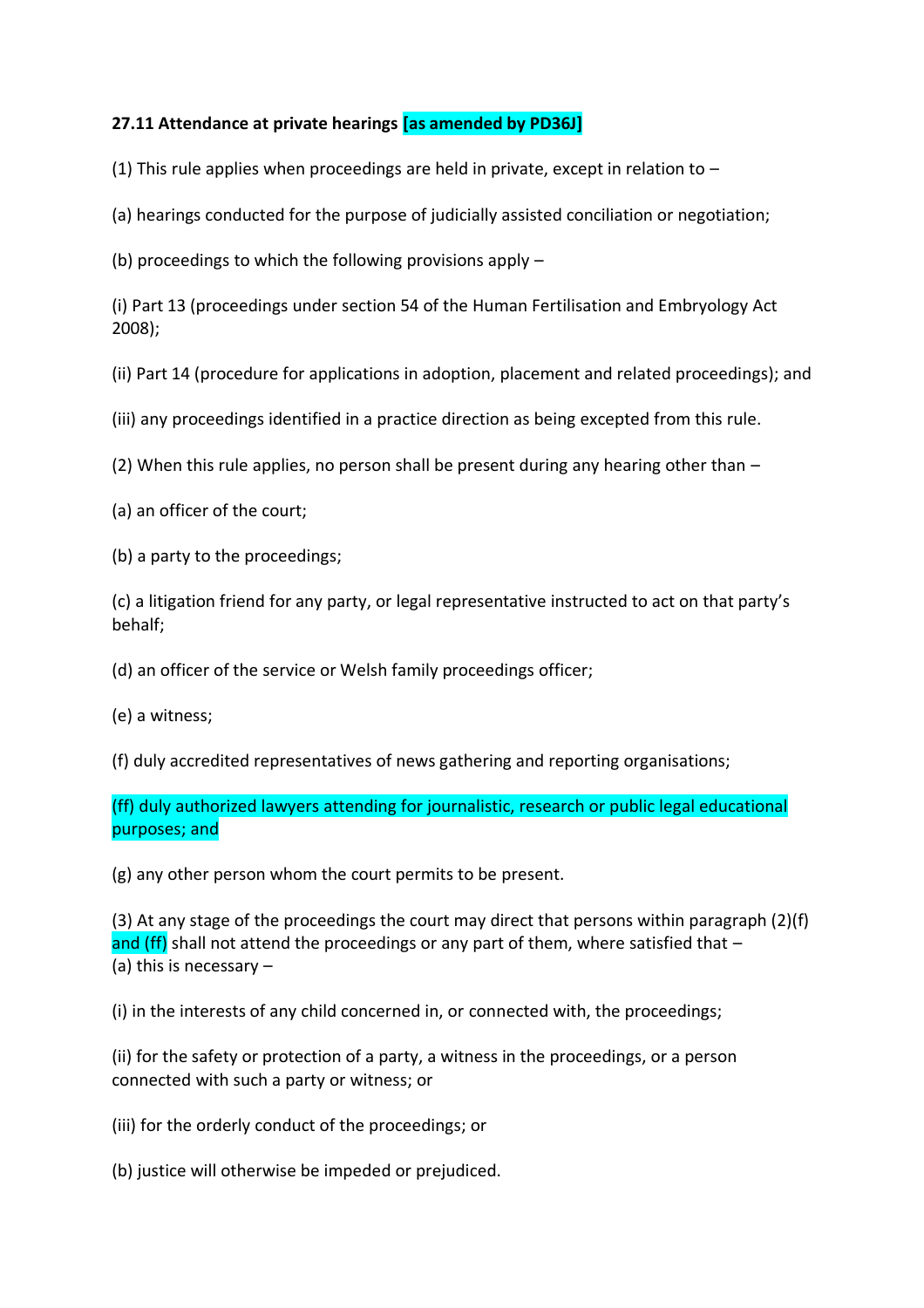## **27.11 Attendance at private hearings [as amended by PD36J]**

(1) This rule applies when proceedings are held in private, except in relation to  $-$ 

(a) hearings conducted for the purpose of judicially assisted conciliation or negotiation;

(b) proceedings to which the following provisions apply –

(i) Part 13 (proceedings under section 54 of the Human Fertilisation and Embryology Act 2008);

(ii) Part 14 (procedure for applications in adoption, placement and related proceedings); and

(iii) any proceedings identified in a practice direction as being excepted from this rule.

(2) When this rule applies, no person shall be present during any hearing other than –

(a) an officer of the court;

(b) a party to the proceedings;

(c) a litigation friend for any party, or legal representative instructed to act on that party's behalf;

(d) an officer of the service or Welsh family proceedings officer;

(e) a witness;

(f) duly accredited representatives of news gathering and reporting organisations;

(ff) duly authorized lawyers attending for journalistic, research or public legal educational purposes; and

(g) any other person whom the court permits to be present.

(3) At any stage of the proceedings the court may direct that persons within paragraph (2)(f) and (ff) shall not attend the proceedings or any part of them, where satisfied that  $-$ (a) this is necessary –

(i) in the interests of any child concerned in, or connected with, the proceedings;

(ii) for the safety or protection of a party, a witness in the proceedings, or a person connected with such a party or witness; or

(iii) for the orderly conduct of the proceedings; or

(b) justice will otherwise be impeded or prejudiced.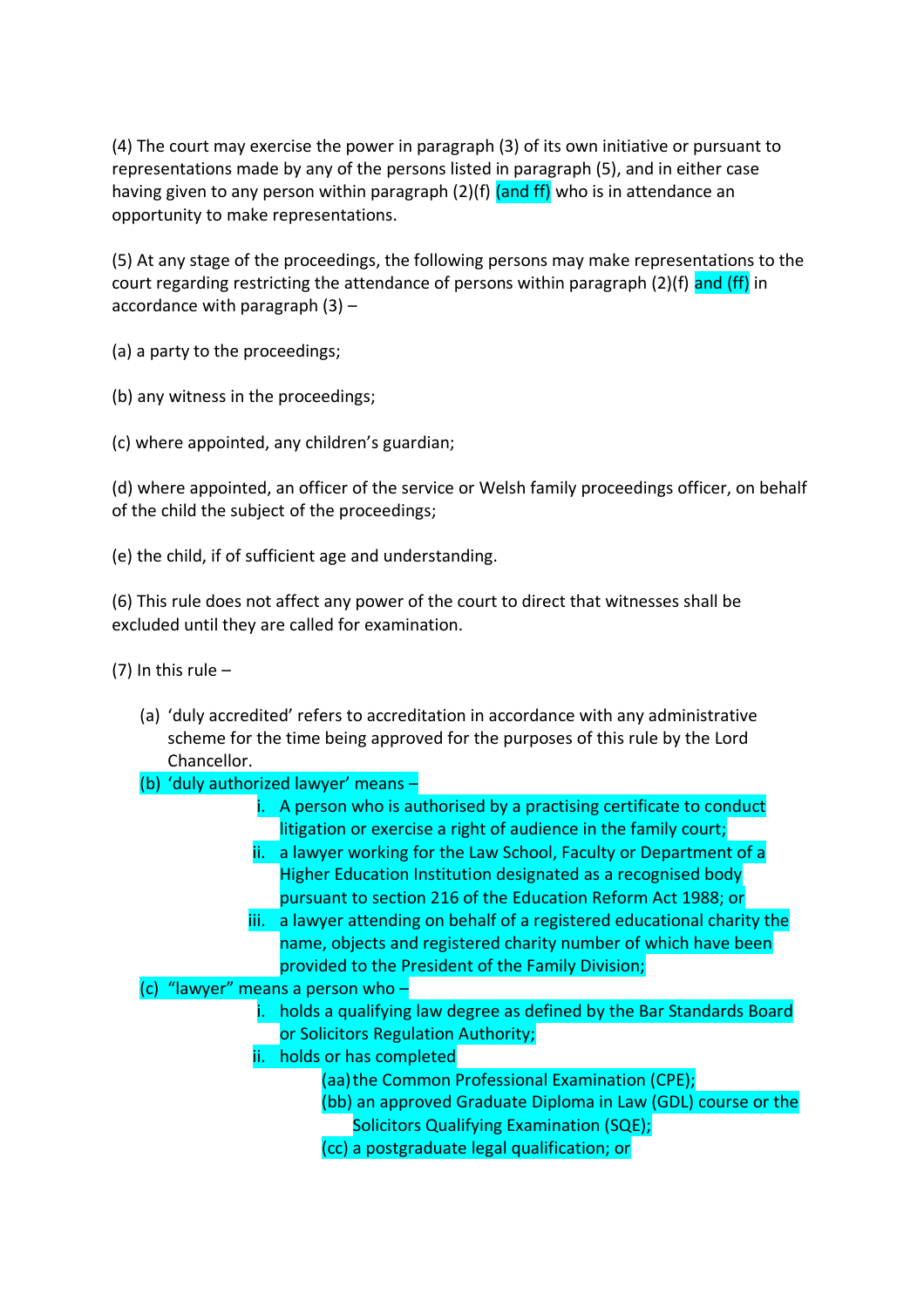(4) The court may exercise the power in paragraph (3) of its own initiative or pursuant to representations made by any of the persons listed in paragraph (5), and in either case having given to any person within paragraph (2)(f) (and ff) who is in attendance an opportunity to make representations.

(5) At any stage of the proceedings, the following persons may make representations to the court regarding restricting the attendance of persons within paragraph  $(2)(f)$  and  $(ff)$  in accordance with paragraph  $(3)$  –

(a) a party to the proceedings;

(b) any witness in the proceedings;

(c) where appointed, any children's guardian;

(d) where appointed, an officer of the service or Welsh family proceedings officer, on behalf of the child the subject of the proceedings;

(e) the child, if of sufficient age and understanding.

(6) This rule does not affect any power of the court to direct that witnesses shall be excluded until they are called for examination.

(7) In this rule  $-$ 

- (a) 'duly accredited' refers to accreditation in accordance with any administrative scheme for the time being approved for the purposes of this rule by the Lord Chancellor.
- (b) 'duly authorized lawyer' means
	- i. A person who is authorised by a practising certificate to conduct litigation or exercise a right of audience in the family court;
	- ii. a lawyer working for the Law School, Faculty or Department of a Higher Education Institution designated as a recognised body pursuant to section 216 of the Education Reform Act 1988; or
	- iii. a lawyer attending on behalf of a registered educational charity the name, objects and registered charity number of which have been provided to the President of the Family Division;
- (c) "lawyer" means a person who
	- i. holds a qualifying law degree as defined by the Bar Standards Board or Solicitors Regulation Authority;
	- ii. holds or has completed
		- (aa)the Common Professional Examination (CPE);
		- (bb) an approved Graduate Diploma in Law (GDL) course or the Solicitors Qualifying Examination (SQE);
		- (cc) a postgraduate legal qualification; or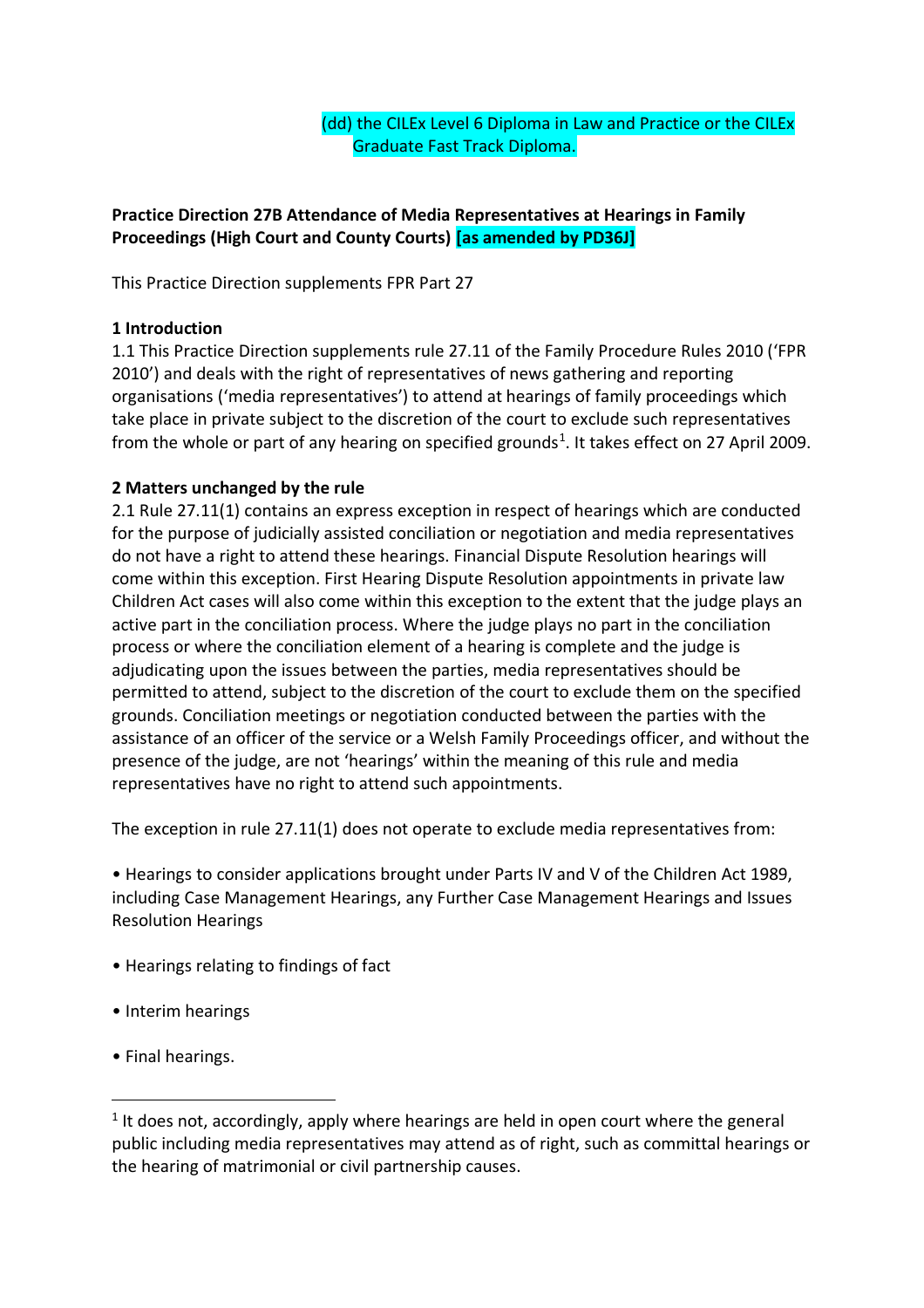(dd) the CILEx Level 6 Diploma in Law and Practice or the CILEx Graduate Fast Track Diploma.

# **Practice Direction 27B Attendance of Media Representatives at Hearings in Family Proceedings (High Court and County Courts) [as amended by PD36J]**

This Practice Direction supplements FPR Part 27

## **1 Introduction**

1.1 This Practice Direction supplements rule 27.11 of the Family Procedure Rules 2010 ('FPR 2010') and deals with the right of representatives of news gathering and reporting organisations ('media representatives') to attend at hearings of family proceedings which take place in private subject to the discretion of the court to exclude such representatives from the whole or part of any hearing on specified grounds<sup>1</sup>. It takes effect on 27 April 2009.

## **2 Matters unchanged by the rule**

2.1 Rule 27.11(1) contains an express exception in respect of hearings which are conducted for the purpose of judicially assisted conciliation or negotiation and media representatives do not have a right to attend these hearings. Financial Dispute Resolution hearings will come within this exception. First Hearing Dispute Resolution appointments in private law Children Act cases will also come within this exception to the extent that the judge plays an active part in the conciliation process. Where the judge plays no part in the conciliation process or where the conciliation element of a hearing is complete and the judge is adjudicating upon the issues between the parties, media representatives should be permitted to attend, subject to the discretion of the court to exclude them on the specified grounds. Conciliation meetings or negotiation conducted between the parties with the assistance of an officer of the service or a Welsh Family Proceedings officer, and without the presence of the judge, are not 'hearings' within the meaning of this rule and media representatives have no right to attend such appointments.

The exception in rule 27.11(1) does not operate to exclude media representatives from:

• Hearings to consider applications brought under Parts IV and V of the Children Act 1989, including Case Management Hearings, any Further Case Management Hearings and Issues Resolution Hearings

- Hearings relating to findings of fact
- Interim hearings
- Final hearings.

 $\overline{a}$ 

 $1$  It does not, accordingly, apply where hearings are held in open court where the general public including media representatives may attend as of right, such as committal hearings or the hearing of matrimonial or civil partnership causes.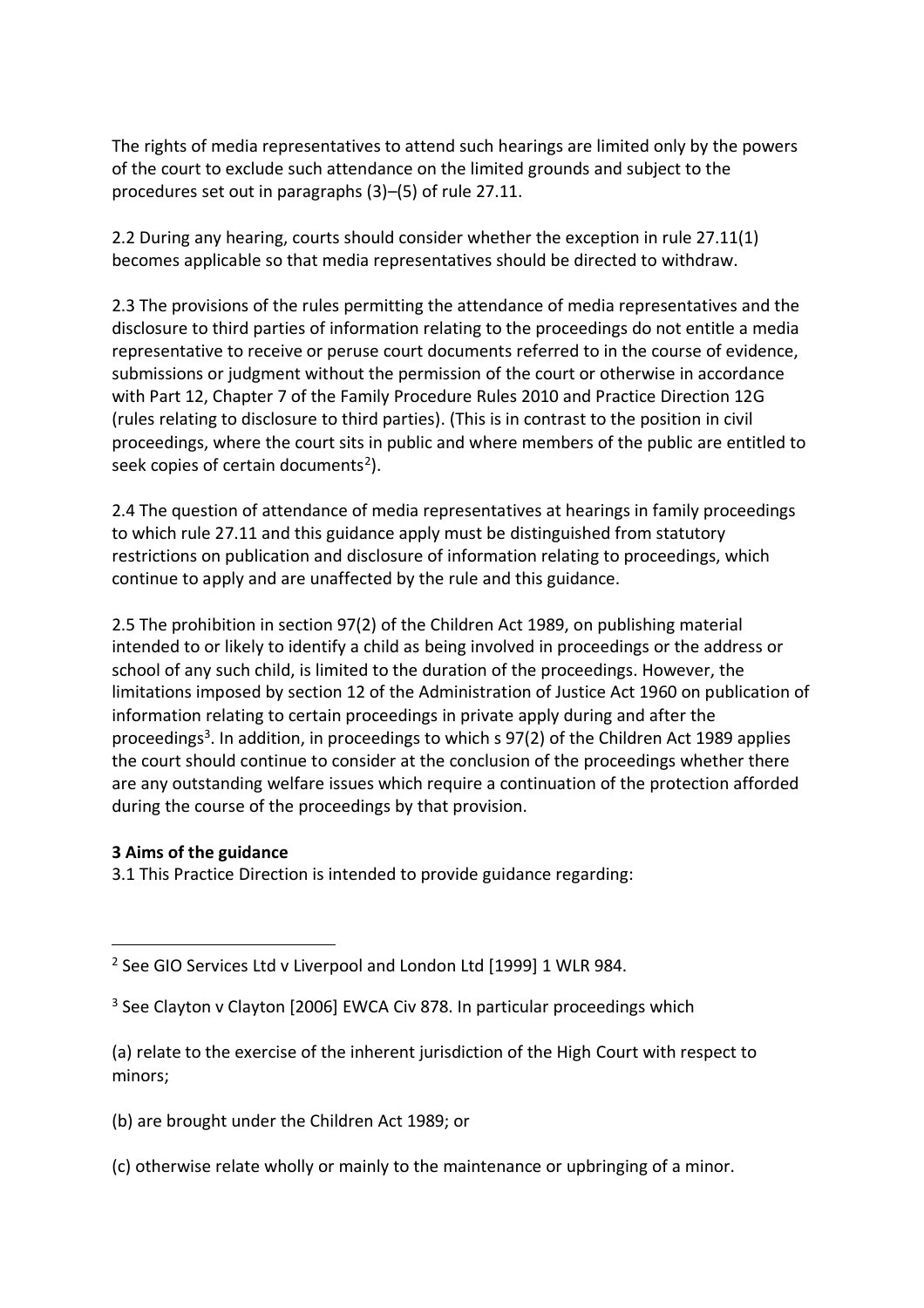The rights of media representatives to attend such hearings are limited only by the powers of the court to exclude such attendance on the limited grounds and subject to the procedures set out in paragraphs (3)–(5) of rule 27.11.

2.2 During any hearing, courts should consider whether the exception in rule 27.11(1) becomes applicable so that media representatives should be directed to withdraw.

2.3 The provisions of the rules permitting the attendance of media representatives and the disclosure to third parties of information relating to the proceedings do not entitle a media representative to receive or peruse court documents referred to in the course of evidence, submissions or judgment without the permission of the court or otherwise in accordance with Part 12, Chapter 7 of the Family Procedure Rules 2010 and Practice Direction 12G (rules relating to disclosure to third parties). (This is in contrast to the position in civil proceedings, where the court sits in public and where members of the public are entitled to seek copies of certain documents<sup>2</sup>).

2.4 The question of attendance of media representatives at hearings in family proceedings to which rule 27.11 and this guidance apply must be distinguished from statutory restrictions on publication and disclosure of information relating to proceedings, which continue to apply and are unaffected by the rule and this guidance.

2.5 The prohibition in section 97(2) of the Children Act 1989, on publishing material intended to or likely to identify a child as being involved in proceedings or the address or school of any such child, is limited to the duration of the proceedings. However, the limitations imposed by section 12 of the Administration of Justice Act 1960 on publication of information relating to certain proceedings in private apply during and after the proceedings<sup>3</sup>. In addition, in proceedings to which s 97(2) of the Children Act 1989 applies the court should continue to consider at the conclusion of the proceedings whether there are any outstanding welfare issues which require a continuation of the protection afforded during the course of the proceedings by that provision.

#### **3 Aims of the guidance**

 $\overline{a}$ 

3.1 This Practice Direction is intended to provide guidance regarding:

- (b) are brought under the Children Act 1989; or
- (c) otherwise relate wholly or mainly to the maintenance or upbringing of a minor.

<sup>&</sup>lt;sup>2</sup> See GIO Services Ltd v Liverpool and London Ltd [1999] 1 WLR 984.

<sup>&</sup>lt;sup>3</sup> See Clayton v Clayton [2006] EWCA Civ 878. In particular proceedings which

<sup>(</sup>a) relate to the exercise of the inherent jurisdiction of the High Court with respect to minors;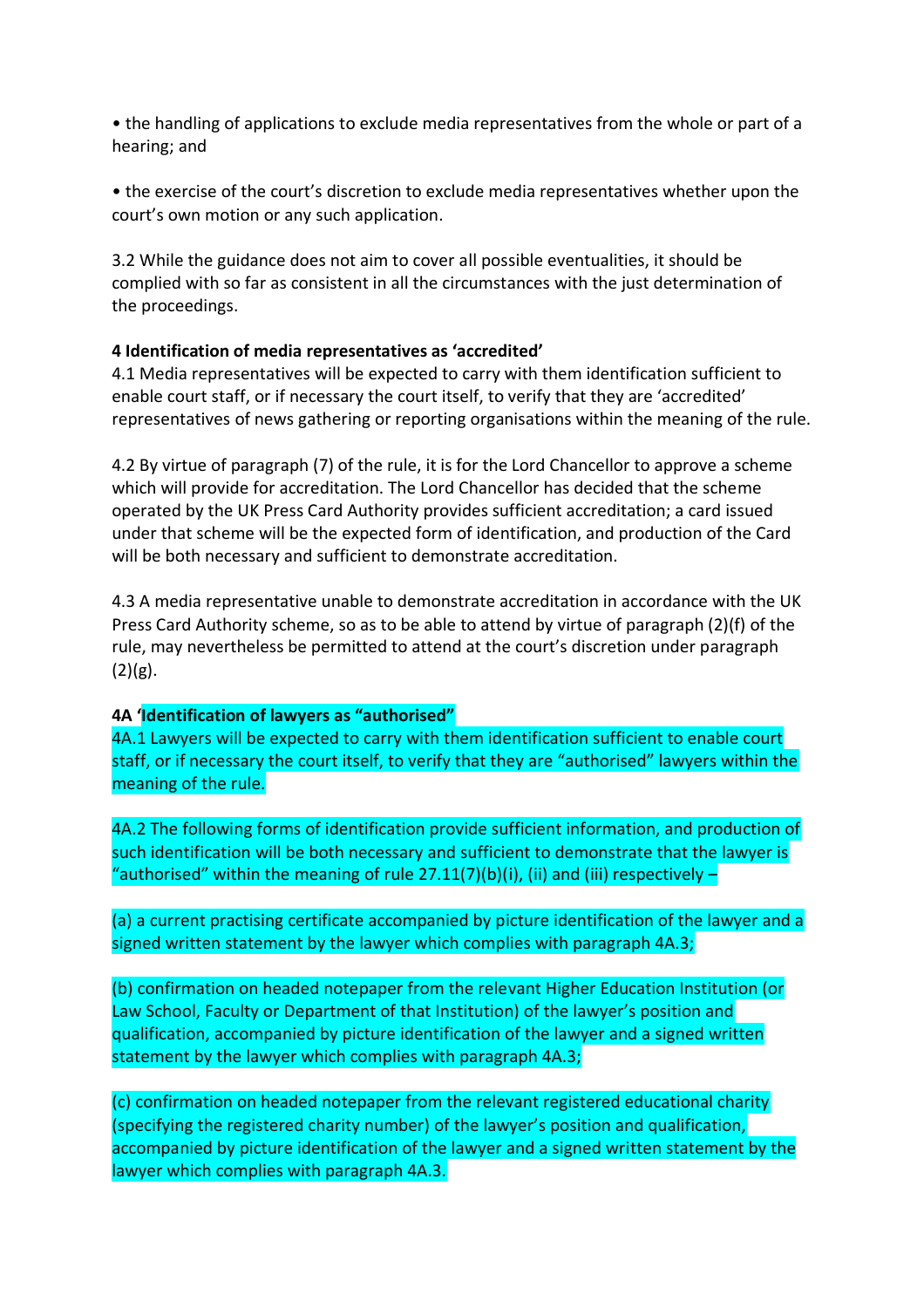• the handling of applications to exclude media representatives from the whole or part of a hearing; and

• the exercise of the court's discretion to exclude media representatives whether upon the court's own motion or any such application.

3.2 While the guidance does not aim to cover all possible eventualities, it should be complied with so far as consistent in all the circumstances with the just determination of the proceedings.

### **4 Identification of media representatives as 'accredited'**

4.1 Media representatives will be expected to carry with them identification sufficient to enable court staff, or if necessary the court itself, to verify that they are 'accredited' representatives of news gathering or reporting organisations within the meaning of the rule.

4.2 By virtue of paragraph (7) of the rule, it is for the Lord Chancellor to approve a scheme which will provide for accreditation. The Lord Chancellor has decided that the scheme operated by the UK Press Card Authority provides sufficient accreditation; a card issued under that scheme will be the expected form of identification, and production of the Card will be both necessary and sufficient to demonstrate accreditation.

4.3 A media representative unable to demonstrate accreditation in accordance with the UK Press Card Authority scheme, so as to be able to attend by virtue of paragraph (2)(f) of the rule, may nevertheless be permitted to attend at the court's discretion under paragraph  $(2)(g)$ .

#### **4A 'Identification of lawyers as "authorised"**

4A.1 Lawyers will be expected to carry with them identification sufficient to enable court staff, or if necessary the court itself, to verify that they are "authorised" lawyers within the meaning of the rule.

4A.2 The following forms of identification provide sufficient information, and production of such identification will be both necessary and sufficient to demonstrate that the lawyer is "authorised" within the meaning of rule  $27.11(7)(b)(i)$ , (ii) and (iii) respectively  $-$ 

(a) a current practising certificate accompanied by picture identification of the lawyer and a signed written statement by the lawyer which complies with paragraph 4A.3;

(b) confirmation on headed notepaper from the relevant Higher Education Institution (or Law School, Faculty or Department of that Institution) of the lawyer's position and qualification, accompanied by picture identification of the lawyer and a signed written statement by the lawyer which complies with paragraph 4A.3;

(c) confirmation on headed notepaper from the relevant registered educational charity (specifying the registered charity number) of the lawyer's position and qualification, accompanied by picture identification of the lawyer and a signed written statement by the lawyer which complies with paragraph 4A.3.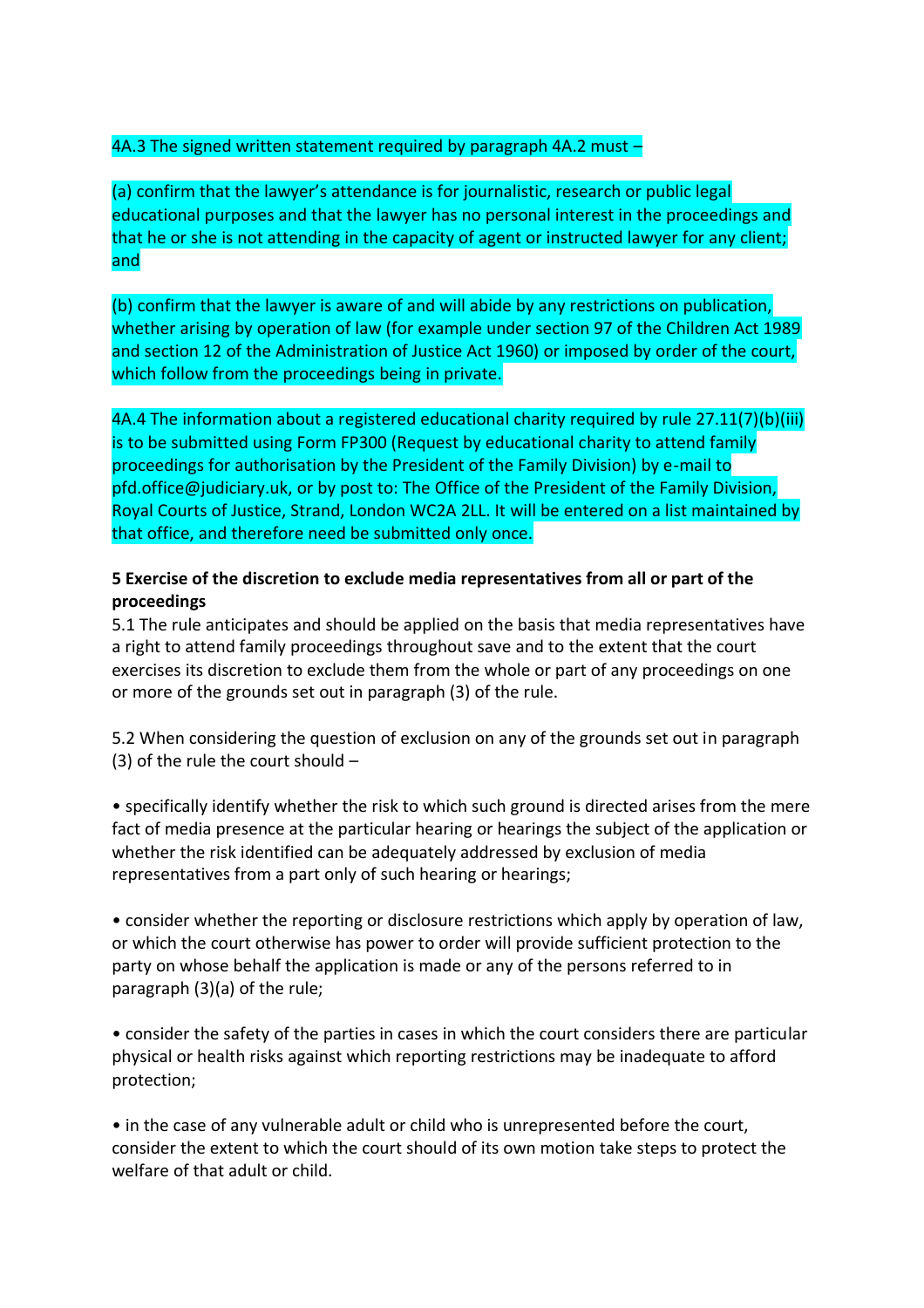### 4A.3 The signed written statement required by paragraph 4A.2 must -

(a) confirm that the lawyer's attendance is for journalistic, research or public legal educational purposes and that the lawyer has no personal interest in the proceedings and that he or she is not attending in the capacity of agent or instructed lawyer for any client; and

(b) confirm that the lawyer is aware of and will abide by any restrictions on publication, whether arising by operation of law (for example under section 97 of the Children Act 1989 and section 12 of the Administration of Justice Act 1960) or imposed by order of the court, which follow from the proceedings being in private.

4A.4 The information about a registered educational charity required by rule 27.11(7)(b)(iii) is to be submitted using Form FP300 (Request by educational charity to attend family proceedings for authorisation by the President of the Family Division) by e-mail to pfd.office@judiciary.uk, or by post to: The Office of the President of the Family Division, Royal Courts of Justice, Strand, London WC2A 2LL. It will be entered on a list maintained by that office, and therefore need be submitted only once.

### **5 Exercise of the discretion to exclude media representatives from all or part of the proceedings**

5.1 The rule anticipates and should be applied on the basis that media representatives have a right to attend family proceedings throughout save and to the extent that the court exercises its discretion to exclude them from the whole or part of any proceedings on one or more of the grounds set out in paragraph (3) of the rule.

5.2 When considering the question of exclusion on any of the grounds set out in paragraph (3) of the rule the court should –

• specifically identify whether the risk to which such ground is directed arises from the mere fact of media presence at the particular hearing or hearings the subject of the application or whether the risk identified can be adequately addressed by exclusion of media representatives from a part only of such hearing or hearings;

• consider whether the reporting or disclosure restrictions which apply by operation of law, or which the court otherwise has power to order will provide sufficient protection to the party on whose behalf the application is made or any of the persons referred to in paragraph (3)(a) of the rule;

• consider the safety of the parties in cases in which the court considers there are particular physical or health risks against which reporting restrictions may be inadequate to afford protection;

• in the case of any vulnerable adult or child who is unrepresented before the court, consider the extent to which the court should of its own motion take steps to protect the welfare of that adult or child.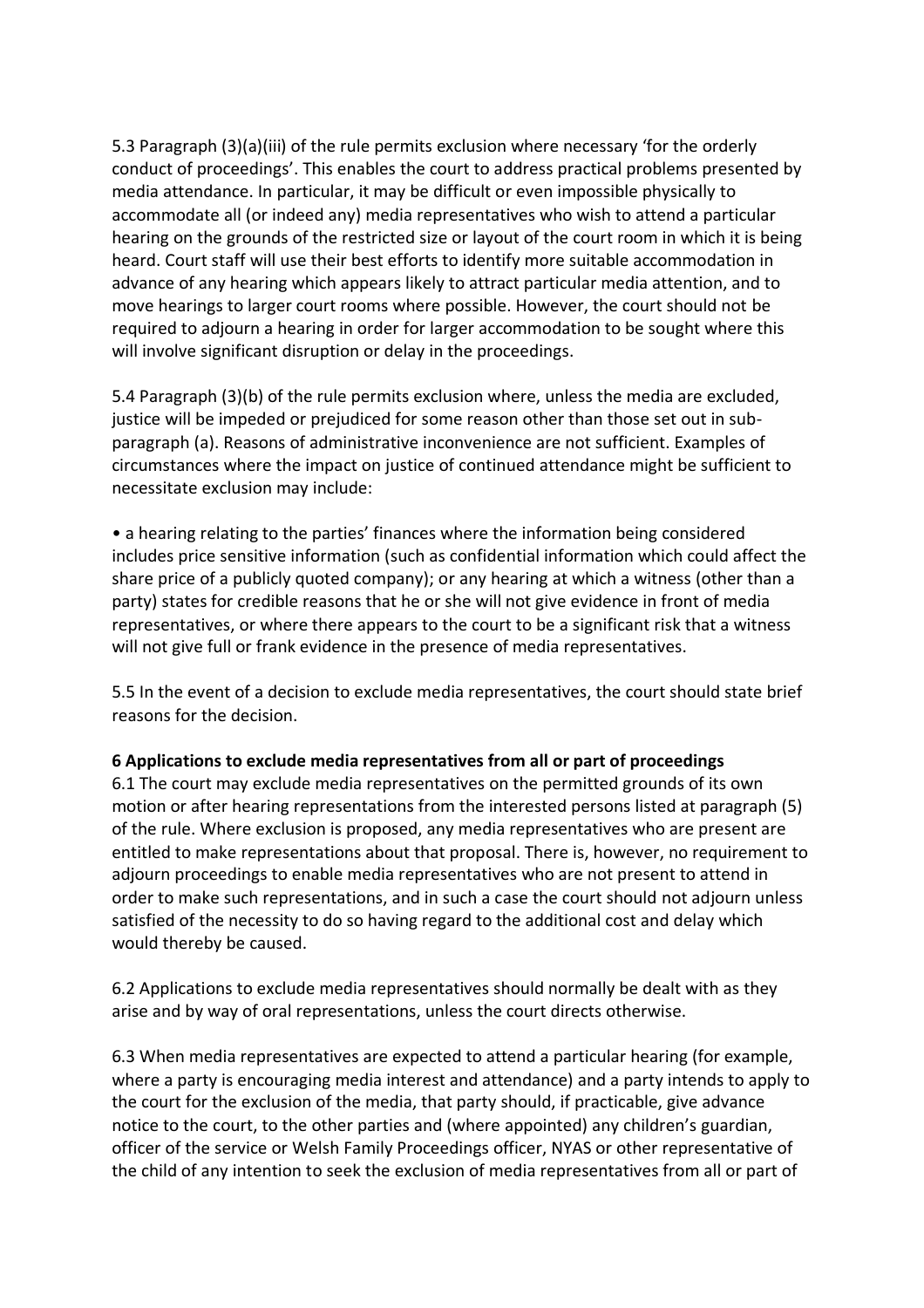5.3 Paragraph (3)(a)(iii) of the rule permits exclusion where necessary 'for the orderly conduct of proceedings'. This enables the court to address practical problems presented by media attendance. In particular, it may be difficult or even impossible physically to accommodate all (or indeed any) media representatives who wish to attend a particular hearing on the grounds of the restricted size or layout of the court room in which it is being heard. Court staff will use their best efforts to identify more suitable accommodation in advance of any hearing which appears likely to attract particular media attention, and to move hearings to larger court rooms where possible. However, the court should not be required to adjourn a hearing in order for larger accommodation to be sought where this will involve significant disruption or delay in the proceedings.

5.4 Paragraph (3)(b) of the rule permits exclusion where, unless the media are excluded, justice will be impeded or prejudiced for some reason other than those set out in subparagraph (a). Reasons of administrative inconvenience are not sufficient. Examples of circumstances where the impact on justice of continued attendance might be sufficient to necessitate exclusion may include:

• a hearing relating to the parties' finances where the information being considered includes price sensitive information (such as confidential information which could affect the share price of a publicly quoted company); or any hearing at which a witness (other than a party) states for credible reasons that he or she will not give evidence in front of media representatives, or where there appears to the court to be a significant risk that a witness will not give full or frank evidence in the presence of media representatives.

5.5 In the event of a decision to exclude media representatives, the court should state brief reasons for the decision.

### **6 Applications to exclude media representatives from all or part of proceedings**

6.1 The court may exclude media representatives on the permitted grounds of its own motion or after hearing representations from the interested persons listed at paragraph (5) of the rule. Where exclusion is proposed, any media representatives who are present are entitled to make representations about that proposal. There is, however, no requirement to adjourn proceedings to enable media representatives who are not present to attend in order to make such representations, and in such a case the court should not adjourn unless satisfied of the necessity to do so having regard to the additional cost and delay which would thereby be caused.

6.2 Applications to exclude media representatives should normally be dealt with as they arise and by way of oral representations, unless the court directs otherwise.

6.3 When media representatives are expected to attend a particular hearing (for example, where a party is encouraging media interest and attendance) and a party intends to apply to the court for the exclusion of the media, that party should, if practicable, give advance notice to the court, to the other parties and (where appointed) any children's guardian, officer of the service or Welsh Family Proceedings officer, NYAS or other representative of the child of any intention to seek the exclusion of media representatives from all or part of